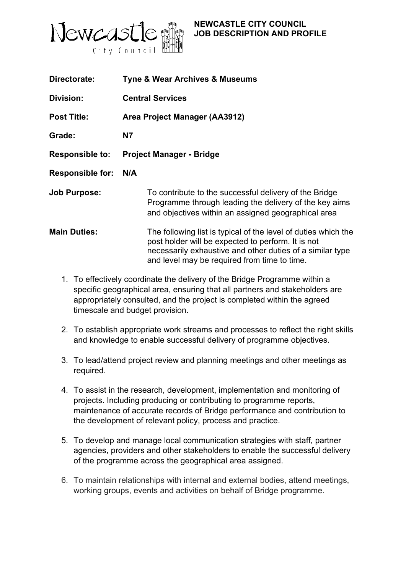

## **NEWCASTLE CITY COUNCIL JOB DESCRIPTION AND PROFILE**

| Directorate:            | <b>Tyne &amp; Wear Archives &amp; Museums</b>                                                                                                                                                                                     |
|-------------------------|-----------------------------------------------------------------------------------------------------------------------------------------------------------------------------------------------------------------------------------|
| Division:               | <b>Central Services</b>                                                                                                                                                                                                           |
| <b>Post Title:</b>      | Area Project Manager (AA3912)                                                                                                                                                                                                     |
| Grade:                  | <b>N7</b>                                                                                                                                                                                                                         |
| <b>Responsible to:</b>  | <b>Project Manager - Bridge</b>                                                                                                                                                                                                   |
| <b>Responsible for:</b> | N/A                                                                                                                                                                                                                               |
| <b>Job Purpose:</b>     | To contribute to the successful delivery of the Bridge<br>Programme through leading the delivery of the key aims<br>and objectives within an assigned geographical area                                                           |
| <b>Main Duties:</b>     | The following list is typical of the level of duties which the<br>post holder will be expected to perform. It is not<br>necessarily exhaustive and other duties of a similar type<br>and level may be required from time to time. |

- 1. To effectively coordinate the delivery of the Bridge Programme within a specific geographical area, ensuring that all partners and stakeholders are appropriately consulted, and the project is completed within the agreed timescale and budget provision.
- 2. To establish appropriate work streams and processes to reflect the right skills and knowledge to enable successful delivery of programme objectives.
- 3. To lead/attend project review and planning meetings and other meetings as required.
- 4. To assist in the research, development, implementation and monitoring of projects. Including producing or contributing to programme reports, maintenance of accurate records of Bridge performance and contribution to the development of relevant policy, process and practice.
- 5. To develop and manage local communication strategies with staff, partner agencies, providers and other stakeholders to enable the successful delivery of the programme across the geographical area assigned.
- 6. To maintain relationships with internal and external bodies, attend meetings, working groups, events and activities on behalf of Bridge programme.